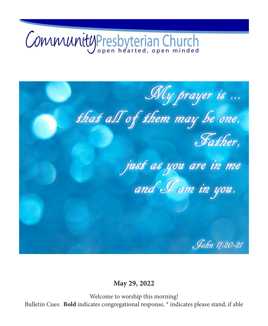## CommunityPresbyterian Church

My prayer is ... that all of them may be one, Father just as you are in me and I am in you. John 17:20-21

#### **May 29, 2022**

Welcome to worship this morning! Bulletin Cues: **Bold** indicates congregational response, \* indicates please stand, if able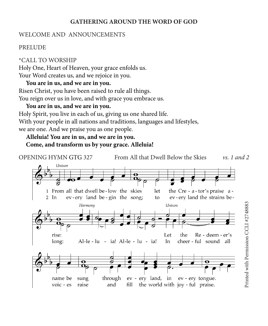#### **GATHERING AROUND THE WORD OF GOD**

#### WELCOME AND ANNOUNCEMENTS

#### PRELUDE

#### \*CALL TO WORSHIP

Holy One, Heart of Heaven, your grace enfolds us. Your Word creates us, and we rejoice in you.

#### **You are in us, and we are in you.**

Risen Christ, you have been raised to rule all things. You reign over us in love, and with grace you embrace us.

#### **You are in us, and we are in you.**

Holy Spirit, you live in each of us, giving us one shared life. With your people in all nations and traditions, languages and lifestyles, we are one. And we praise you as one people.

#### **Alleluia! You are in us, and we are in you. Come, and transform us by your grace. Alleluia!**

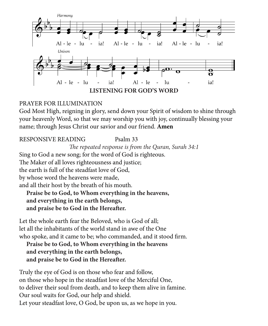

#### PRAYER FOR ILLUMINATION

God Most High, reigning in glory, send down your Spirit of wisdom to shine through your heavenly Word, so that we may worship you with joy, continually blessing your name; through Jesus Christ our savior and our friend. **Amen**

RESPONSIVE READING Psalm 33 *The repeated response is from the Quran, Surah 34:1*

Sing to God a new song; for the word of God is righteous. The Maker of all loves righteousness and justice; the earth is full of the steadfast love of God, by whose word the heavens were made, and all their host by the breath of his mouth. **Praise be to God, to Whom everything in the heavens,**

**and everything in the earth belongs, and praise be to God in the Hereafter.**

Let the whole earth fear the Beloved, who is God of all; let all the inhabitants of the world stand in awe of the One who spoke, and it came to be; who commanded, and it stood firm.

**Praise be to God, to Whom everything in the heavens and everything in the earth belongs, and praise be to God in the Hereafter.**

Truly the eye of God is on those who fear and follow, on those who hope in the steadfast love of the Merciful One, to deliver their soul from death, and to keep them alive in famine. Our soul waits for God, our help and shield. Let your steadfast love, O God, be upon us, as we hope in you.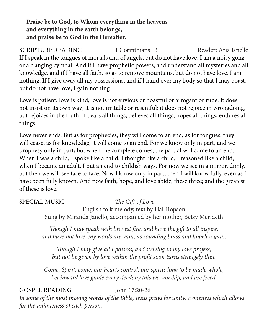**Praise be to God, to Whom everything in the heavens and everything in the earth belongs, and praise be to God in the Hereafter.**

SCRIPTURE READING 1 Corinthians 13 Reader: Aria Janello If I speak in the tongues of mortals and of angels, but do not have love, I am a noisy gong or a clanging cymbal. And if I have prophetic powers, and understand all mysteries and all knowledge, and if I have all faith, so as to remove mountains, but do not have love, I am nothing. If I give away all my possessions, and if I hand over my body so that I may boast, but do not have love, I gain nothing.

Love is patient; love is kind; love is not envious or boastful or arrogant or rude. It does not insist on its own way; it is not irritable or resentful; it does not rejoice in wrongdoing, but rejoices in the truth. It bears all things, believes all things, hopes all things, endures all things.

Love never ends. But as for prophecies, they will come to an end; as for tongues, they will cease; as for knowledge, it will come to an end. For we know only in part, and we prophesy only in part; but when the complete comes, the partial will come to an end. When I was a child, I spoke like a child, I thought like a child, I reasoned like a child; when I became an adult, I put an end to childish ways. For now we see in a mirror, dimly, but then we will see face to face. Now I know only in part; then I will know fully, even as I have been fully known. And now faith, hope, and love abide, these three; and the greatest of these is love.

SPECIAL MUSIC *The Gift of Love*  English folk melody, text by Hal Hopson Sung by Miranda Janello, accompanied by her mother, Betsy Merideth

> *Though I may speak with bravest fire, and have the gift to all inspire, and have not love, my words are vain, as sounding brass and hopeless gain.*

*Though I may give all I possess, and striving so my love profess, but not be given by love within the profit soon turns strangely thin.*

*Come, Spirit, come, our hearts control, our spirits long to be made whole, Let inward love guide every deed; by this we worship, and are freed.*

GOSPEL READING John 17:20-26

*In some of the most moving words of the Bible, Jesus prays for unity, a oneness which allows for the uniqueness of each person.*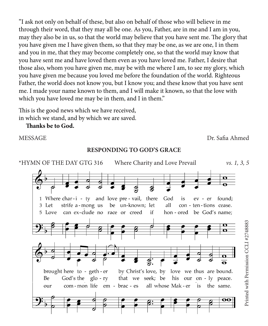"I ask not only on behalf of these, but also on behalf of those who will believe in me through their word, that they may all be one. As you, Father, are in me and I am in you, may they also be in us, so that the world may believe that you have sent me. The glory that you have given me I have given them, so that they may be one, as we are one, I in them and you in me, that they may become completely one, so that the world may know that you have sent me and have loved them even as you have loved me. Father, I desire that those also, whom you have given me, may be with me where I am, to see my glory, which you have given me because you loved me before the foundation of the world. Righteous Father, the world does not know you, but I know you; and these know that you have sent me. I made your name known to them, and I will make it known, so that the love with which you have loved me may be in them, and I in them."

This is the good news which we have received, in which we stand, and by which we are saved.

**Thanks be to God.**

MESSAGE Dr. Safia Ahmed

#### **RESPONDING TO GOD'S GRACE**

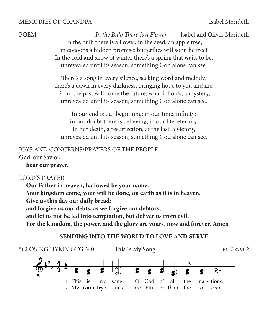#### MEMORIES OF GRANDPA **Islaming Community** Memorial Isabel Merideth

POEM *In the Bulb There Is a Flower* Isabel and Oliver Merideth In the bulb there is a flower, in the seed, an apple tree; in cocoons a hidden promise: butterflies will soon be free! In the cold and snow of winter there's a spring that waits to be, unrevealed until its season, something God alone can see.

> There's a song in every silence, seeking word and melody; there's a dawn in every darkness, bringing hope to you and me. From the past will come the future; what it holds, a mystery, unrevealed until its season, something God alone can see.

In our end is our beginning; in our time, infinity; in our doubt there is believing; in our life, eternity. In our death, a resurrection; at the last, a victory, unrevealed until its season, something God alone can see.

JOYS AND CONCERNS/PRAYERS OF THE PEOPLE

God, our Savior,

**hear our prayer.**

#### LORD'S PRAYER

**Our Father in heaven, hallowed be your name. Your kingdom come, your will be done, on earth as it is in heaven. Give us this day our daily bread; and forgive us our debts, as we forgive our debtors; and let us not be led into temptation, but deliver us from evil. For the kingdom, the power, and the glory are yours, now and forever. Amen**

#### **SENDING INTO THE WORLD TO LOVE AND SERVE**

\*CLOSING HYMN GTG 340 This Is My Song *vs. 1 and 2*

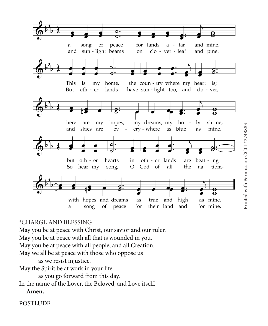

#### \*CHARGE AND BLESSING

May you be at peace with Christ, our savior and our ruler.

May you be at peace with all that is wounded in you.

May you be at peace with all people, and all Creation.

May we all be at peace with those who oppose us

as we resist injustice.

May the Spirit be at work in your life

as you go forward from this day.

In the name of the Lover, the Beloved, and Love itself.

#### **Amen.**

POSTLUDE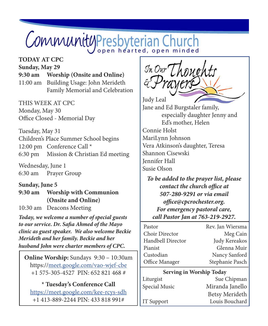# CommunityPresbyterian Church

### **TODAY AT CPC**

**Sunday, May 29**

**9:30 am Worship (Onsite and Online)**

11:00 am Building Usage: John Merideth Family Memorial and Celebration

THIS WEEK AT CPC Monday, May 30 Office Closed - Memorial Day

Tuesday, May 31 Children's Place Summer School begins 12:00 pm Conference Call \* 6:30 pm Mission & Christian Ed meeting

Wednesday, June 1 6:30 am Prayer Group

#### **Sunday, June 5**

**9:30 am Worship with Communion (Onsite and Online)**

10:30 am Deacons Meeting

*Today, we welcome a number of special guests to our service. Dr. Safia Ahmed of the Mayo clinic as guest speaker. We also welcome Beckie Merideth and her family. Beckie and her husband John were charter members of CPC.* 

**Online Worship:** Sundays 9:30 – 10:30am https://meet.google.com/vao-wjef-cbe +1 575-305-4527 PIN: 652 821 468 #

**\* Tuesday's Conference Call**  https://meet.google.com/kee-rcys-sdh +1 413-889-2244 PIN: 433 818 991#

In Our Thoughts

Judy Leal Jane and Ed Burgstaler family, especially daughter Jenny and Ed's mother, Helen Connie Holst MariLynn Johnson Vera Atkinson's daughter, Teresa Shannon Cisewski Jennifer Hall Susie Olson

*To be added to the prayer list, please contact the church office at 507-280-9291 or via email office@cpcrochester.org. For emergency pastoral care, call Pastor Jan at 763-219-2927.*

| Pastor                          | Rev. Jan Wiersma      |
|---------------------------------|-----------------------|
| Choir Director                  | Meg Cain              |
| Handbell Director               | Judy Kereakos         |
| Pianist                         | Glenna Muir           |
| Custodian                       | Nancy Sanford         |
| Office Manager                  | Stephanie Pasch       |
| <b>Serving in Worship Today</b> |                       |
| Liturgist                       | Sue Chipman           |
| Special Music                   | Miranda Janello       |
|                                 | <b>Betsy Merideth</b> |

IT Support Louis Bouchard